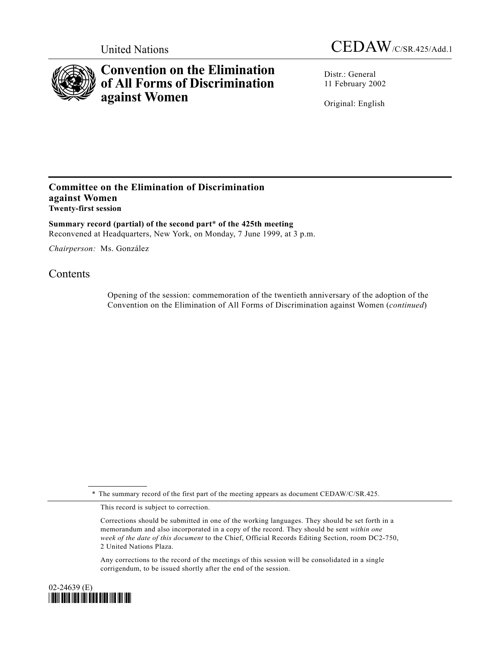

## **Convention on the Elimination of All Forms of Discrimination against Women**

Distr.: General 11 February 2002

Original: English

## **Committee on the Elimination of Discrimination against Women Twenty-first session**

**Summary record (partial) of the second part**\* **of the 425th meeting** Reconvened at Headquarters, New York, on Monday, 7 June 1999, at 3 p.m.

*Chairperson:* Ms. González

## **Contents**

Opening of the session: commemoration of the twentieth anniversary of the adoption of the Convention on the Elimination of All Forms of Discrimination against Women (*continued*)

\* The summary record of the first part of the meeting appears as document CEDAW/C/SR.425.

This record is subject to correction.

Corrections should be submitted in one of the working languages. They should be set forth in a memorandum and also incorporated in a copy of the record. They should be sent *within one week of the date of this document* to the Chief, Official Records Editing Section, room DC2-750, 2 United Nations Plaza.

Any corrections to the record of the meetings of this session will be consolidated in a single corrigendum, to be issued shortly after the end of the session.